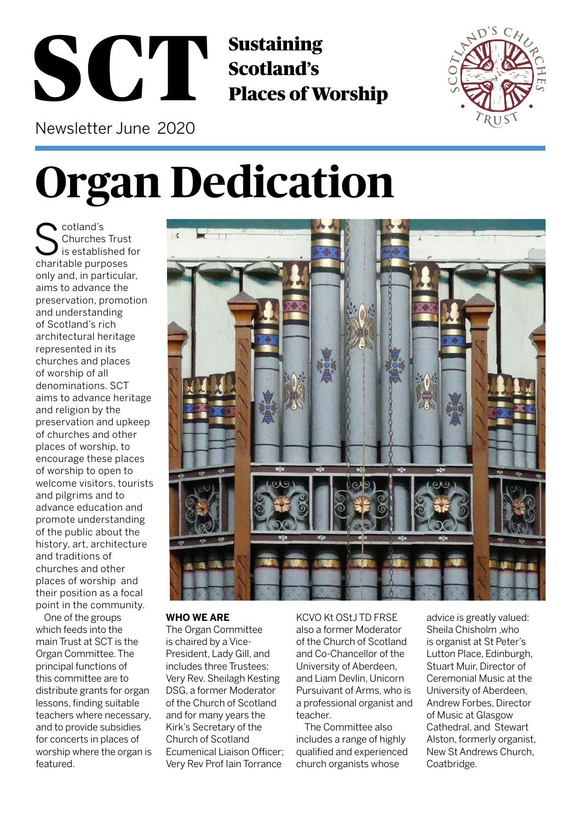## Sustaining Sustaining<br>Scotland's<br>Places of Worship Newsletter June 2020



**Organ Dedication**

cotland's Churches Trust is established for charitable purposes only and, in particular, aims to advance the preservation, promotion and understanding of Scotland's rich architectural heritage represented in its churches and places of worship of all denominations. SCT aims to advance heritage and religion by the preservation and upkeep of churches and other places of worship, to encourage these places of worship to open to welcome visitors, tourists and pilgrims and to advance education and promote understanding of the public about the history, art, architecture and traditions of churches and other places of worship and their position as a focal point in the community.

One of the groups which feeds into the main Trust at SCT is the Organ Committee. The principal functions of this committee are to distribute grants for organ lessons, finding suitable teachers where necessary, and to provide subsidies for concerts in places of worship where the organ is featured.



#### **WHO WE ARE**

The Organ Committee is chaired by a Vice-President, Lady Gill, and includes three Trustees: Very Rev. Sheilagh Kesting DSG, a former Moderator of the Church of Scotland and for many years the Kirk's Secretary of the Church of Scotland Ecumenical Liaison Officer; Very Rev Prof Iain Torrance

KCVO Kt OStJ TD FRSE also a former Moderator of the Church of Scotland and Co-Chancellor of the University of Aberdeen, and Liam Devlin, Unicorn Pursuivant of Arms, who is a professional organist and teacher.

The Committee also includes a range of highly qualified and experienced church organists whose

advice is greatly valued: Sheila Chisholm ,who is organist at St Peter's Lutton Place, Edinburgh, Stuart Muir, Director of Ceremonial Music at the University of Aberdeen, Andrew Forbes, Director of Music at Glasgow Cathedral, and Stewart Alston, formerly organist, New St Andrews Church, Coatbridge.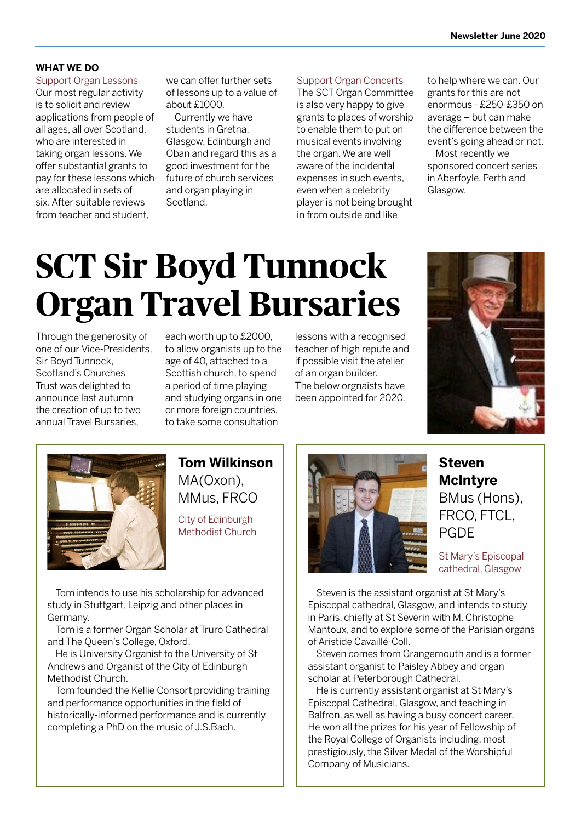#### **WHAT WE DO**

Support Organ Lessons Our most regular activity is to solicit and review applications from people of all ages, all over Scotland, who are interested in taking organ lessons. We offer substantial grants to pay for these lessons which are allocated in sets of six. After suitable reviews from teacher and student,

we can offer further sets of lessons up to a value of about £1000.

Currently we have students in Gretna, Glasgow, Edinburgh and Oban and regard this as a good investment for the future of church services and organ playing in Scotland.

Support Organ Concerts

The SCT Organ Committee is also very happy to give grants to places of worship to enable them to put on musical events involving the organ. We are well aware of the incidental expenses in such events, even when a celebrity player is not being brought in from outside and like

to help where we can. Our grants for this are not enormous - £250-£350 on average – but can make the difference between the event's going ahead or not.

Most recently we sponsored concert series in Aberfoyle, Perth and Glasgow.

# **SCT Sir Boyd Tunnock Organ Travel Bursaries**

Through the generosity of one of our Vice-Presidents, Sir Boyd Tunnock, Scotland's Churches Trust was delighted to announce last autumn the creation of up to two annual Travel Bursaries,

each worth up to £2000, to allow organists up to the age of 40, attached to a Scottish church, to spend a period of time playing and studying organs in one or more foreign countries, to take some consultation

lessons with a recognised teacher of high repute and if possible visit the atelier of an organ builder. The below orgnaists have been appointed for 2020.





### **Tom Wilkinson**  MA(Oxon), MMus, FRCO

City of Edinburgh Methodist Church

Tom intends to use his scholarship for advanced study in Stuttgart, Leipzig and other places in Germany.

Tom is a former Organ Scholar at Truro Cathedral and The Queen's College, Oxford.

He is University Organist to the University of St Andrews and Organist of the City of Edinburgh Methodist Church.

Tom founded the Kellie Consort providing training and performance opportunities in the field of historically-informed performance and is currently completing a PhD on the music of J.S.Bach.



**Steven McIntyre** BMus (Hons), FRCO, FTCL, PGDE

St Mary's Episcopal cathedral, Glasgow

Steven is the assistant organist at St Mary's Episcopal cathedral, Glasgow, and intends to study in Paris, chiefly at St Severin with M. Christophe Mantoux, and to explore some of the Parisian organs of Aristide Cavaillé-Coll.

Steven comes from Grangemouth and is a former assistant organist to Paisley Abbey and organ scholar at Peterborough Cathedral.

He is currently assistant organist at St Mary's Episcopal Cathedral, Glasgow, and teaching in Balfron, as well as having a busy concert career. He won all the prizes for his year of Fellowship of the Royal College of Organists including, most prestigiously, the Silver Medal of the Worshipful Company of Musicians.